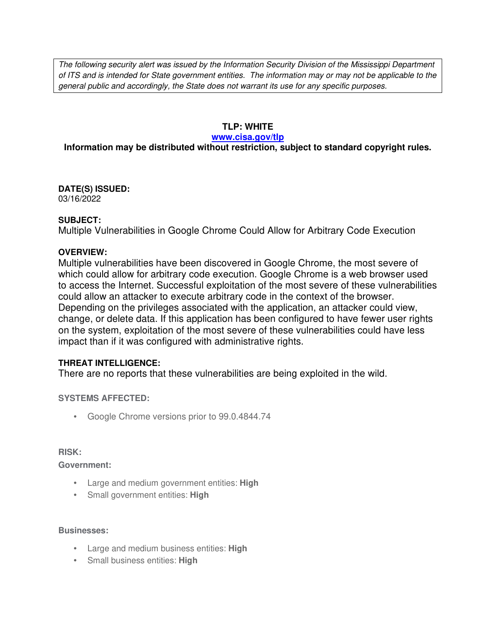The following security alert was issued by the Information Security Division of the Mississippi Department of ITS and is intended for State government entities. The information may or may not be applicable to the general public and accordingly, the State does not warrant its use for any specific purposes.

# **TLP: WHITE**

### **www.cisa.gov/tlp**

# **Information may be distributed without restriction, subject to standard copyright rules.**

**DATE(S) ISSUED:** 03/16/2022

## **SUBJECT:**

Multiple Vulnerabilities in Google Chrome Could Allow for Arbitrary Code Execution

## **OVERVIEW:**

Multiple vulnerabilities have been discovered in Google Chrome, the most severe of which could allow for arbitrary code execution. Google Chrome is a web browser used to access the Internet. Successful exploitation of the most severe of these vulnerabilities could allow an attacker to execute arbitrary code in the context of the browser. Depending on the privileges associated with the application, an attacker could view, change, or delete data. If this application has been configured to have fewer user rights on the system, exploitation of the most severe of these vulnerabilities could have less impact than if it was configured with administrative rights.

# **THREAT INTELLIGENCE:**

There are no reports that these vulnerabilities are being exploited in the wild.

# **SYSTEMS AFFECTED:**

• Google Chrome versions prior to 99.0.4844.74

### **RISK:**

**Government:**

- Large and medium government entities: **High**
- Small government entities: **High**

### **Businesses:**

- Large and medium business entities: **High**
- Small business entities: **High**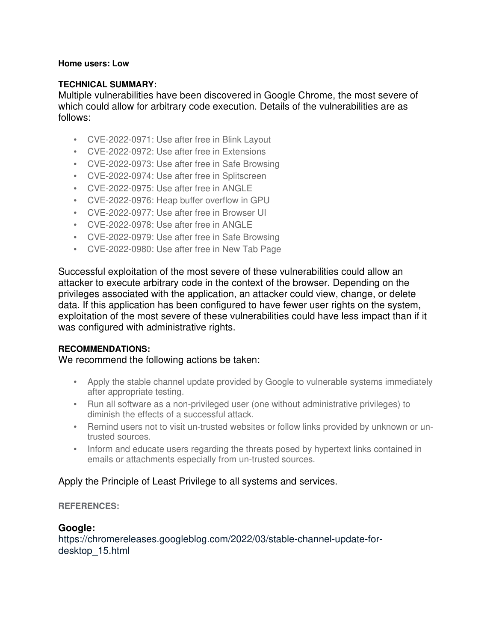## **Home users: Low**

# **TECHNICAL SUMMARY:**

Multiple vulnerabilities have been discovered in Google Chrome, the most severe of which could allow for arbitrary code execution. Details of the vulnerabilities are as follows:

- CVE-2022-0971: Use after free in Blink Layout
- CVE-2022-0972: Use after free in Extensions
- CVE-2022-0973: Use after free in Safe Browsing
- CVE-2022-0974: Use after free in Splitscreen
- CVE-2022-0975: Use after free in ANGLE
- CVE-2022-0976: Heap buffer overflow in GPU
- CVE-2022-0977: Use after free in Browser UI
- CVE-2022-0978: Use after free in ANGLE
- CVE-2022-0979: Use after free in Safe Browsing
- CVE-2022-0980: Use after free in New Tab Page

Successful exploitation of the most severe of these vulnerabilities could allow an attacker to execute arbitrary code in the context of the browser. Depending on the privileges associated with the application, an attacker could view, change, or delete data. If this application has been configured to have fewer user rights on the system, exploitation of the most severe of these vulnerabilities could have less impact than if it was configured with administrative rights.

### **RECOMMENDATIONS:**

# We recommend the following actions be taken:

- Apply the stable channel update provided by Google to vulnerable systems immediately after appropriate testing.
- Run all software as a non-privileged user (one without administrative privileges) to diminish the effects of a successful attack.
- Remind users not to visit un-trusted websites or follow links provided by unknown or untrusted sources.
- Inform and educate users regarding the threats posed by hypertext links contained in emails or attachments especially from un-trusted sources.

# Apply the Principle of Least Privilege to all systems and services.

# **REFERENCES:**

# **Google:**

https://chromereleases.googleblog.com/2022/03/stable-channel-update-fordesktop\_15.html